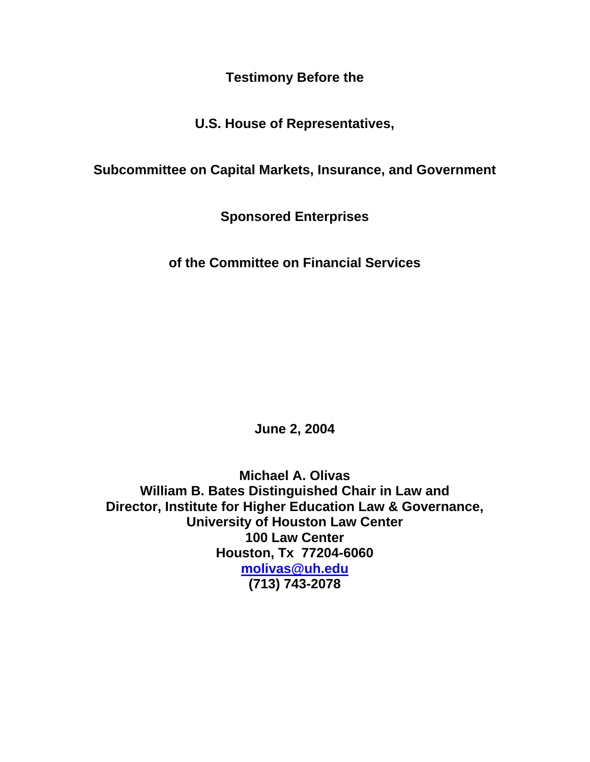**Testimony Before the** 

**U.S. House of Representatives,**

**Subcommittee on Capital Markets, Insurance, and Government**

**Sponsored Enterprises**

**of the Committee on Financial Services**

**June 2, 2004**

**Michael A. Olivas William B. Bates Distinguished Chair in Law and Director, Institute for Higher Education Law & Governance, University of Houston Law Center 100 Law Center Houston, Tx 77204-6060 [molivas@uh.edu](mailto:molivas@uh.edu) (713) 743-2078**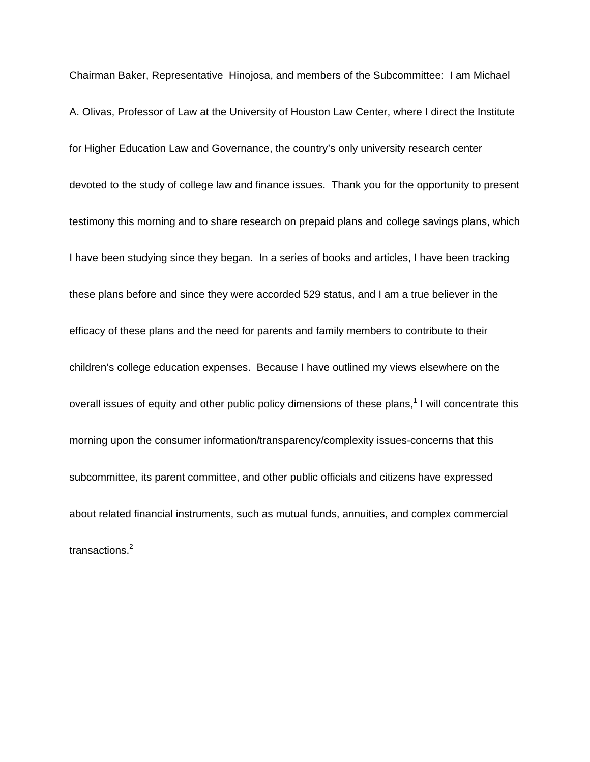Chairman Baker, Representative Hinojosa, and members of the Subcommittee: I am Michael A. Olivas, Professor of Law at the University of Houston Law Center, where I direct the Institute for Higher Education Law and Governance, the country's only university research center devoted to the study of college law and finance issues. Thank you for the opportunity to present testimony this morning and to share research on prepaid plans and college savings plans, which I have been studying since they began. In a series of books and articles, I have been tracking these plans before and since they were accorded 529 status, and I am a true believer in the efficacy of these plans and the need for parents and family members to contribute to their children's college education expenses. Because I have outlined my views elsewhere on the overall issues of equity and other public policy dimensions of these plans,<sup>1</sup> I will concentrate this morning upon the consumer information/transparency/complexity issues-concerns that this subcommittee, its parent committee, and other public officials and citizens have expressed about related financial instruments, such as mutual funds, annuities, and complex commercial transactions.<sup>2</sup>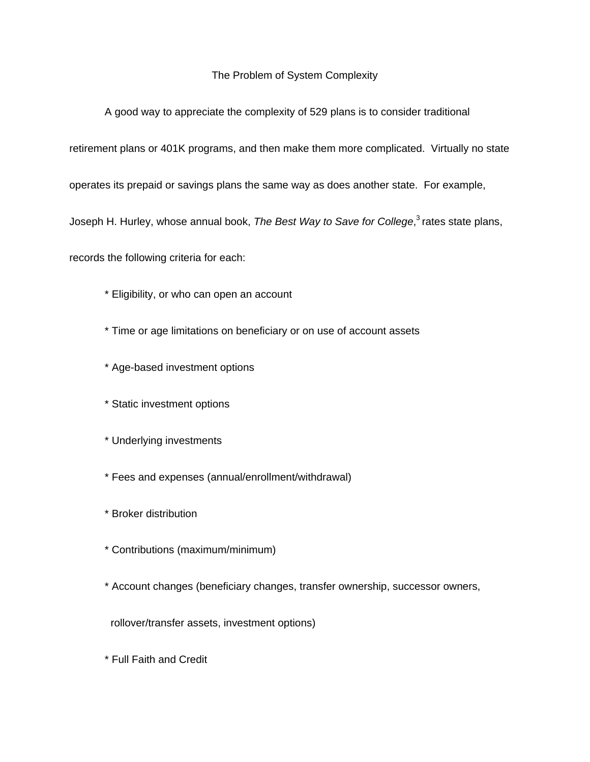## The Problem of System Complexity

A good way to appreciate the complexity of 529 plans is to consider traditional

retirement plans or 401K programs, and then make them more complicated. Virtually no state

operates its prepaid or savings plans the same way as does another state. For example,

Joseph H. Hurley, whose annual book, *The Best Way to Save for College*, 3 rates state plans,

records the following criteria for each:

- \* Eligibility, or who can open an account
- \* Time or age limitations on beneficiary or on use of account assets
- \* Age-based investment options
- \* Static investment options
- \* Underlying investments
- \* Fees and expenses (annual/enrollment/withdrawal)
- \* Broker distribution
- \* Contributions (maximum/minimum)
- \* Account changes (beneficiary changes, transfer ownership, successor owners,

rollover/transfer assets, investment options)

\* Full Faith and Credit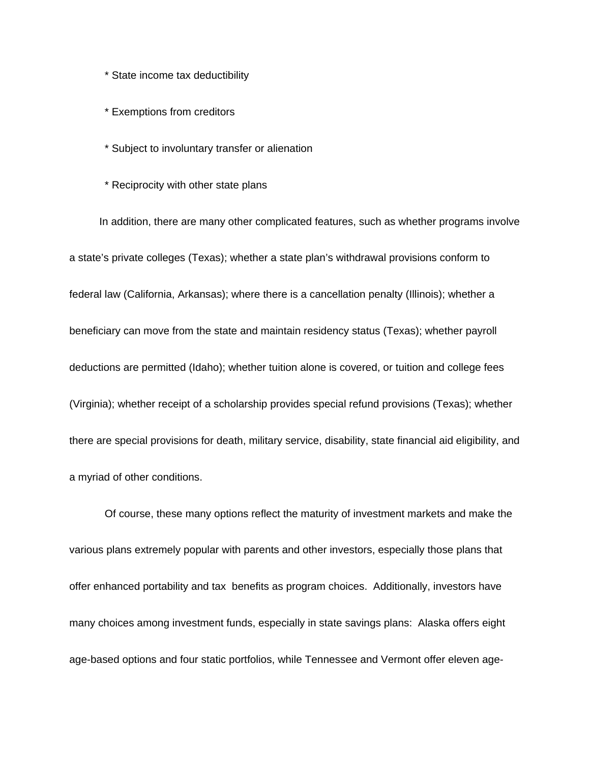\* State income tax deductibility

\* Exemptions from creditors

- \* Subject to involuntary transfer or alienation
- \* Reciprocity with other state plans

 In addition, there are many other complicated features, such as whether programs involve a state's private colleges (Texas); whether a state plan's withdrawal provisions conform to federal law (California, Arkansas); where there is a cancellation penalty (Illinois); whether a beneficiary can move from the state and maintain residency status (Texas); whether payroll deductions are permitted (Idaho); whether tuition alone is covered, or tuition and college fees (Virginia); whether receipt of a scholarship provides special refund provisions (Texas); whether there are special provisions for death, military service, disability, state financial aid eligibility, and a myriad of other conditions.

 Of course, these many options reflect the maturity of investment markets and make the various plans extremely popular with parents and other investors, especially those plans that offer enhanced portability and tax benefits as program choices. Additionally, investors have many choices among investment funds, especially in state savings plans: Alaska offers eight age-based options and four static portfolios, while Tennessee and Vermont offer eleven age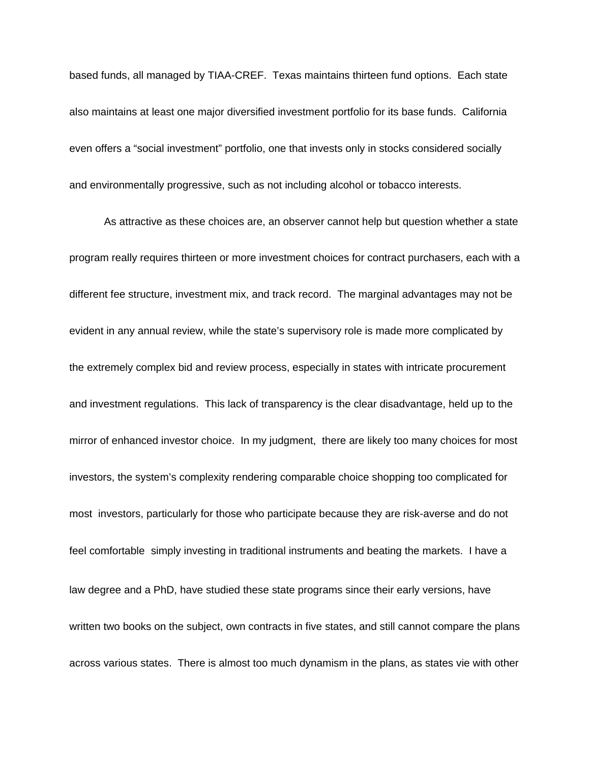based funds, all managed by TIAA-CREF. Texas maintains thirteen fund options. Each state also maintains at least one major diversified investment portfolio for its base funds. California even offers a "social investment" portfolio, one that invests only in stocks considered socially and environmentally progressive, such as not including alcohol or tobacco interests.

As attractive as these choices are, an observer cannot help but question whether a state program really requires thirteen or more investment choices for contract purchasers, each with a different fee structure, investment mix, and track record. The marginal advantages may not be evident in any annual review, while the state's supervisory role is made more complicated by the extremely complex bid and review process, especially in states with intricate procurement and investment regulations. This lack of transparency is the clear disadvantage, held up to the mirror of enhanced investor choice. In my judgment, there are likely too many choices for most investors, the system's complexity rendering comparable choice shopping too complicated for most investors, particularly for those who participate because they are risk-averse and do not feel comfortable simply investing in traditional instruments and beating the markets. I have a law degree and a PhD, have studied these state programs since their early versions, have written two books on the subject, own contracts in five states, and still cannot compare the plans across various states. There is almost too much dynamism in the plans, as states vie with other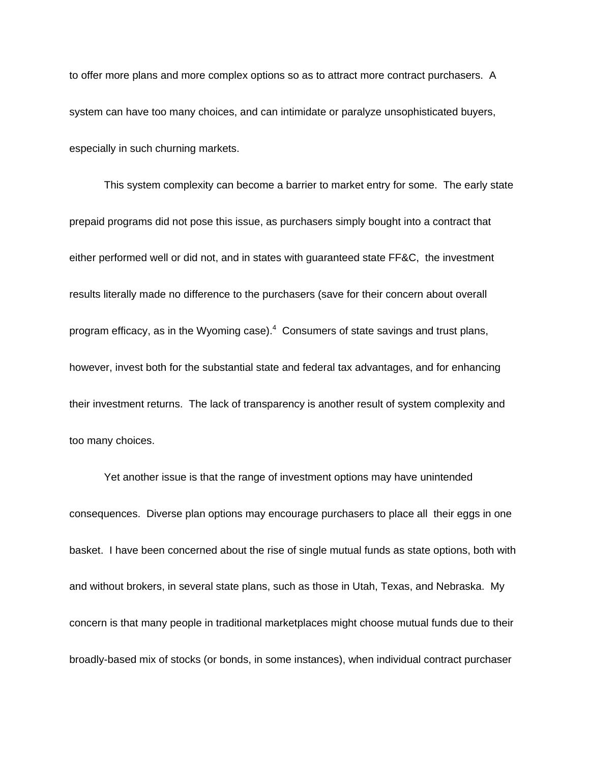to offer more plans and more complex options so as to attract more contract purchasers. A system can have too many choices, and can intimidate or paralyze unsophisticated buyers, especially in such churning markets.

This system complexity can become a barrier to market entry for some. The early state prepaid programs did not pose this issue, as purchasers simply bought into a contract that either performed well or did not, and in states with guaranteed state FF&C, the investment results literally made no difference to the purchasers (save for their concern about overall program efficacy, as in the Wyoming case). $4$  Consumers of state savings and trust plans, however, invest both for the substantial state and federal tax advantages, and for enhancing their investment returns. The lack of transparency is another result of system complexity and too many choices.

Yet another issue is that the range of investment options may have unintended consequences. Diverse plan options may encourage purchasers to place all their eggs in one basket. I have been concerned about the rise of single mutual funds as state options, both with and without brokers, in several state plans, such as those in Utah, Texas, and Nebraska. My concern is that many people in traditional marketplaces might choose mutual funds due to their broadly-based mix of stocks (or bonds, in some instances), when individual contract purchaser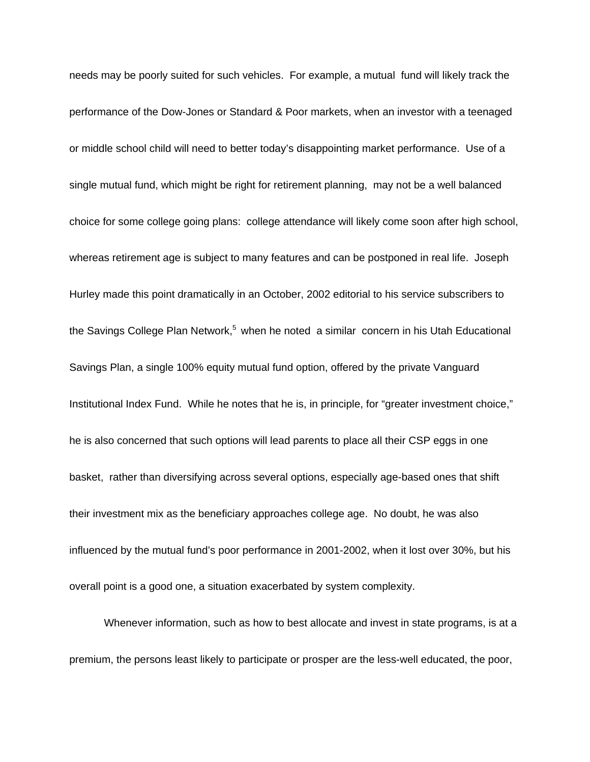needs may be poorly suited for such vehicles. For example, a mutual fund will likely track the performance of the Dow-Jones or Standard & Poor markets, when an investor with a teenaged or middle school child will need to better today's disappointing market performance. Use of a single mutual fund, which might be right for retirement planning, may not be a well balanced choice for some college going plans: college attendance will likely come soon after high school, whereas retirement age is subject to many features and can be postponed in real life. Joseph Hurley made this point dramatically in an October, 2002 editorial to his service subscribers to the Savings College Plan Network,<sup>5</sup> when he noted a similar concern in his Utah Educational Savings Plan, a single 100% equity mutual fund option, offered by the private Vanguard Institutional Index Fund. While he notes that he is, in principle, for "greater investment choice," he is also concerned that such options will lead parents to place all their CSP eggs in one basket, rather than diversifying across several options, especially age-based ones that shift their investment mix as the beneficiary approaches college age. No doubt, he was also influenced by the mutual fund's poor performance in 2001-2002, when it lost over 30%, but his overall point is a good one, a situation exacerbated by system complexity.

Whenever information, such as how to best allocate and invest in state programs, is at a premium, the persons least likely to participate or prosper are the less-well educated, the poor,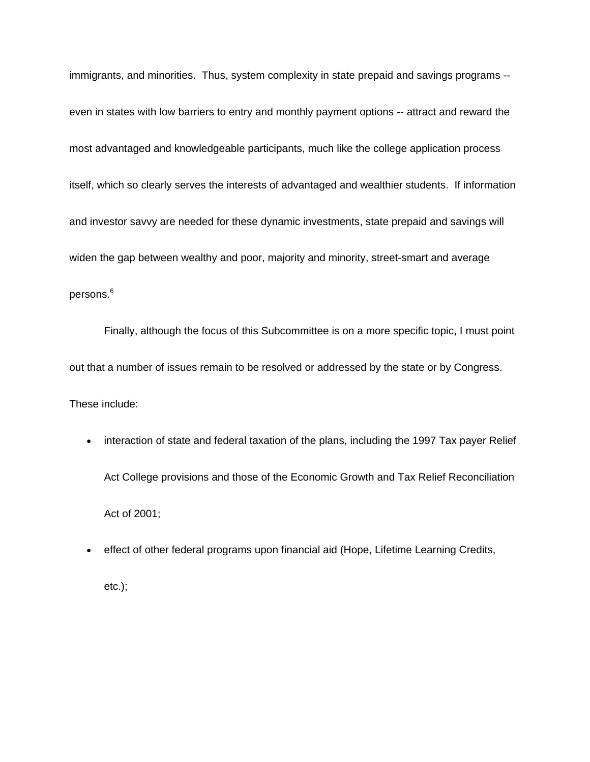immigrants, and minorities. Thus, system complexity in state prepaid and savings programs - even in states with low barriers to entry and monthly payment options -- attract and reward the most advantaged and knowledgeable participants, much like the college application process itself, which so clearly serves the interests of advantaged and wealthier students. If information and investor savvy are needed for these dynamic investments, state prepaid and savings will widen the gap between wealthy and poor, majority and minority, street-smart and average persons. $^6\,$ 

Finally, although the focus of this Subcommittee is on a more specific topic, I must point out that a number of issues remain to be resolved or addressed by the state or by Congress. These include:

- interaction of state and federal taxation of the plans, including the 1997 Tax payer Relief Act College provisions and those of the Economic Growth and Tax Relief Reconciliation Act of 2001;
- effect of other federal programs upon financial aid (Hope, Lifetime Learning Credits,

etc.);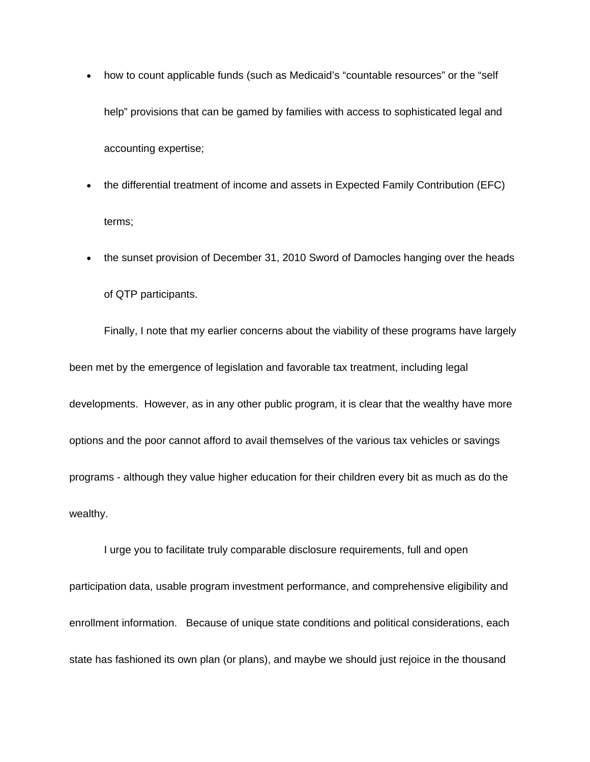- how to count applicable funds (such as Medicaid's "countable resources" or the "self help" provisions that can be gamed by families with access to sophisticated legal and accounting expertise;
- the differential treatment of income and assets in Expected Family Contribution (EFC) terms;
- the sunset provision of December 31, 2010 Sword of Damocles hanging over the heads of QTP participants.

Finally, I note that my earlier concerns about the viability of these programs have largely been met by the emergence of legislation and favorable tax treatment, including legal developments. However, as in any other public program, it is clear that the wealthy have more options and the poor cannot afford to avail themselves of the various tax vehicles or savings programs - although they value higher education for their children every bit as much as do the wealthy.

I urge you to facilitate truly comparable disclosure requirements, full and open participation data, usable program investment performance, and comprehensive eligibility and enrollment information. Because of unique state conditions and political considerations, each state has fashioned its own plan (or plans), and maybe we should just rejoice in the thousand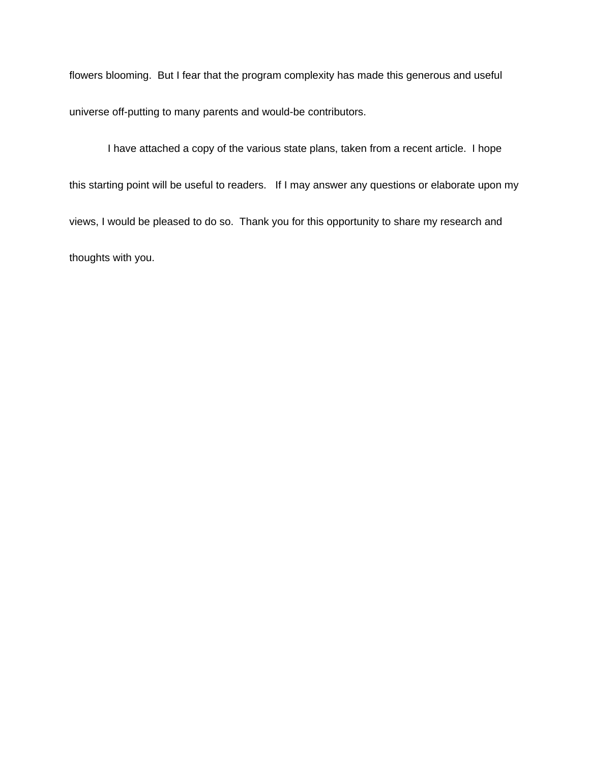flowers blooming. But I fear that the program complexity has made this generous and useful universe off-putting to many parents and would-be contributors.

 I have attached a copy of the various state plans, taken from a recent article. I hope this starting point will be useful to readers. If I may answer any questions or elaborate upon my views, I would be pleased to do so. Thank you for this opportunity to share my research and thoughts with you.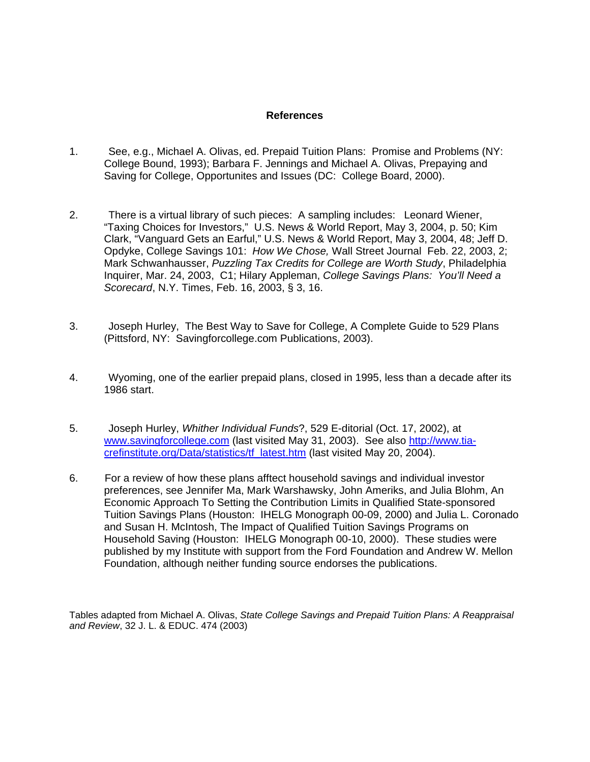#### **References**

- 1. See, e.g., Michael A. Olivas, ed. Prepaid Tuition Plans: Promise and Problems (NY: College Bound, 1993); Barbara F. Jennings and Michael A. Olivas, Prepaying and Saving for College, Opportunites and Issues (DC: College Board, 2000).
- 2. There is a virtual library of such pieces: A sampling includes: Leonard Wiener, "Taxing Choices for Investors," U.S. News & World Report, May 3, 2004, p. 50; Kim Clark, "Vanguard Gets an Earful," U.S. News & World Report, May 3, 2004, 48; Jeff D. Opdyke, College Savings 101: *How We Chose,* Wall Street Journal Feb. 22, 2003, 2; Mark Schwanhausser, *Puzzling Tax Credits for College are Worth Study*, Philadelphia Inquirer, Mar. 24, 2003, C1; Hilary Appleman, *College Savings Plans: You'll Need a Scorecard*, N.Y. Times, Feb. 16, 2003, § 3, 16.
- 3. Joseph Hurley, The Best Way to Save for College, A Complete Guide to 529 Plans (Pittsford, NY: Savingforcollege.com Publications, 2003).
- 4. Wyoming, one of the earlier prepaid plans, closed in 1995, less than a decade after its 1986 start.
- 5. Joseph Hurley, *Whither Individual Funds*?, 529 E-ditorial (Oct. 17, 2002), at [www.savingforcollege.com](http://www.savingforcollege.com/) (last visited May 31, 2003). See also [http://www.tia](http://www.tia-crefinstitute.org/Data/statistics/tf_latest.htm)[crefinstitute.org/Data/statistics/tf\\_latest.htm](http://www.tia-crefinstitute.org/Data/statistics/tf_latest.htm) (last visited May 20, 2004).
- 6. For a review of how these plans afftect household savings and individual investor preferences, see Jennifer Ma, Mark Warshawsky, John Ameriks, and Julia Blohm, An Economic Approach To Setting the Contribution Limits in Qualified State-sponsored Tuition Savings Plans (Houston: IHELG Monograph 00-09, 2000) and Julia L. Coronado and Susan H. McIntosh, The Impact of Qualified Tuition Savings Programs on Household Saving (Houston: IHELG Monograph 00-10, 2000). These studies were published by my Institute with support from the Ford Foundation and Andrew W. Mellon Foundation, although neither funding source endorses the publications.

Tables adapted from Michael A. Olivas, *State College Savings and Prepaid Tuition Plans: A Reappraisal and Review*, 32 J. L. & EDUC. 474 (2003)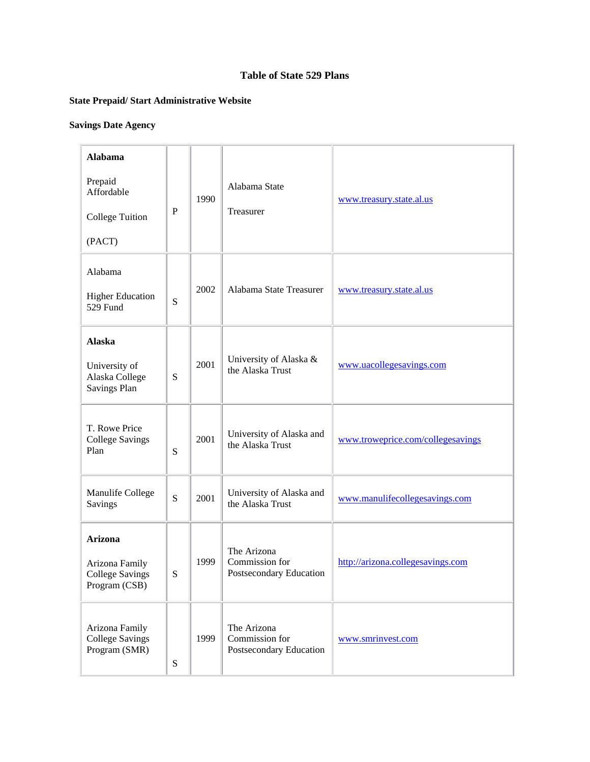## **Table of State 529 Plans**

# **State Prepaid/ Start Administrative Website**

# **Savings Date Agency**

| <b>Alabama</b>                                                              |              |      |                                                          |                                   |
|-----------------------------------------------------------------------------|--------------|------|----------------------------------------------------------|-----------------------------------|
| Prepaid<br>Affordable<br><b>College Tuition</b><br>(PACT)                   | $\mathbf{P}$ | 1990 | Alabama State<br>Treasurer                               | www.treasury.state.al.us          |
| Alabama<br><b>Higher Education</b><br>529 Fund                              | ${\bf S}$    | 2002 | Alabama State Treasurer                                  | www.treasury.state.al.us          |
| <b>Alaska</b>                                                               |              |      |                                                          |                                   |
| University of<br>Alaska College<br><b>Savings Plan</b>                      | S            | 2001 | University of Alaska &<br>the Alaska Trust               | www.uacollegesavings.com          |
| T. Rowe Price<br><b>College Savings</b><br>Plan                             | S            | 2001 | University of Alaska and<br>the Alaska Trust             | www.troweprice.com/collegesavings |
| Manulife College<br>Savings                                                 | ${\bf S}$    | 2001 | University of Alaska and<br>the Alaska Trust             | www.manulifecollegesavings.com    |
| <b>Arizona</b><br>Arizona Family<br><b>College Savings</b><br>Program (CSB) | S            | 1999 | The Arizona<br>Commission for<br>Postsecondary Education | http://arizona.collegesavings.com |
| Arizona Family<br><b>College Savings</b><br>Program (SMR)                   | ${\bf S}$    | 1999 | The Arizona<br>Commission for<br>Postsecondary Education | www.smrinvest.com                 |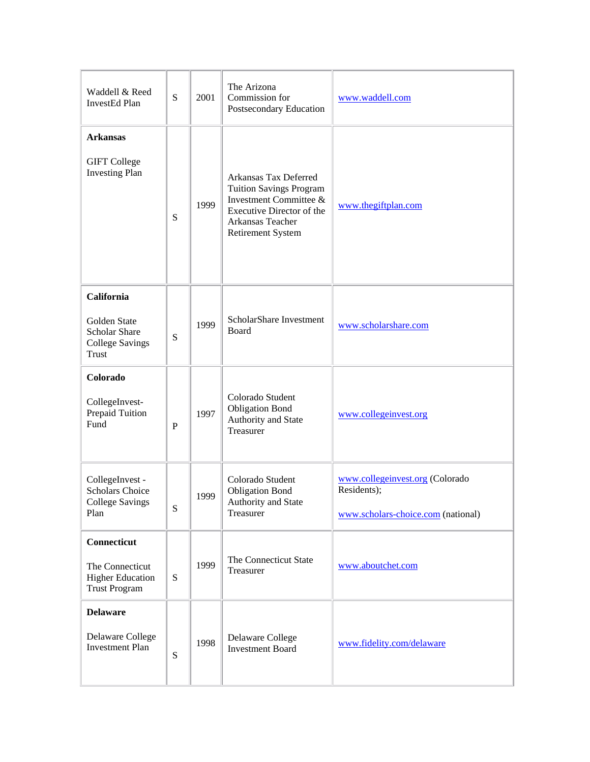| Waddell & Reed<br>InvestEd Plan                                                              | ${\bf S}$   | 2001 | The Arizona<br>Commission for<br>Postsecondary Education                                                                                                | www.waddell.com                                                                      |
|----------------------------------------------------------------------------------------------|-------------|------|---------------------------------------------------------------------------------------------------------------------------------------------------------|--------------------------------------------------------------------------------------|
| <b>Arkansas</b><br><b>GIFT</b> College<br><b>Investing Plan</b>                              | S           | 1999 | Arkansas Tax Deferred<br><b>Tuition Savings Program</b><br>Investment Committee &<br>Executive Director of the<br>Arkansas Teacher<br>Retirement System | www.thegiftplan.com                                                                  |
| California<br><b>Golden State</b><br><b>Scholar Share</b><br><b>College Savings</b><br>Trust | ${\bf S}$   | 1999 | ScholarShare Investment<br>Board                                                                                                                        | www.scholarshare.com                                                                 |
| Colorado<br>CollegeInvest-<br>Prepaid Tuition<br>Fund                                        | $\mathbf P$ | 1997 | Colorado Student<br><b>Obligation Bond</b><br>Authority and State<br>Treasurer                                                                          | www.collegeinvest.org                                                                |
| CollegeInvest -<br><b>Scholars Choice</b><br><b>College Savings</b><br>Plan                  | ${\bf S}$   | 1999 | Colorado Student<br><b>Obligation Bond</b><br>Authority and State<br>Treasurer                                                                          | www.collegeinvest.org (Colorado<br>Residents);<br>www.scholars-choice.com (national) |
| Connecticut<br>The Connecticut<br><b>Higher Education</b><br><b>Trust Program</b>            | S           | 1999 | The Connecticut State<br>Treasurer                                                                                                                      | www.aboutchet.com                                                                    |
| <b>Delaware</b><br>Delaware College<br><b>Investment Plan</b>                                | ${\bf S}$   | 1998 | Delaware College<br><b>Investment Board</b>                                                                                                             | www.fidelity.com/delaware                                                            |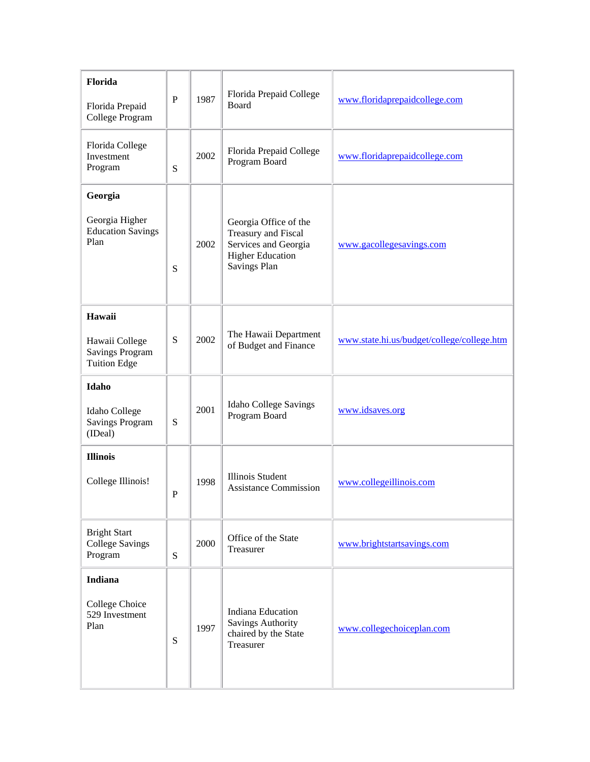| Florida<br>Florida Prepaid<br>College Program                             | ${\bf P}$ | 1987 | Florida Prepaid College<br><b>Board</b>                                                                         | www.floridaprepaidcollege.com              |
|---------------------------------------------------------------------------|-----------|------|-----------------------------------------------------------------------------------------------------------------|--------------------------------------------|
| Florida College<br>Investment<br>Program                                  | S         | 2002 | Florida Prepaid College<br>Program Board                                                                        | www.floridaprepaidcollege.com              |
| Georgia<br>Georgia Higher<br><b>Education Savings</b><br>Plan             | S         | 2002 | Georgia Office of the<br>Treasury and Fiscal<br>Services and Georgia<br><b>Higher Education</b><br>Savings Plan | www.gacollegesavings.com                   |
| Hawaii<br>Hawaii College<br><b>Savings Program</b><br><b>Tuition Edge</b> | S         | 2002 | The Hawaii Department<br>of Budget and Finance                                                                  | www.state.hi.us/budget/college/college.htm |
| Idaho<br>Idaho College<br><b>Savings Program</b><br>(IDeal)               | S         | 2001 | <b>Idaho College Savings</b><br>Program Board                                                                   | www.idsaves.org                            |
| <b>Illinois</b><br>College Illinois!                                      | ${\bf P}$ | 1998 | <b>Illinois Student</b><br><b>Assistance Commission</b>                                                         | www.collegeillinois.com                    |
| <b>Bright Start</b><br><b>College Savings</b><br>Program                  | ${\bf S}$ | 2000 | Office of the State<br>Treasurer                                                                                | www.brightstartsavings.com                 |
| <b>Indiana</b><br>College Choice<br>529 Investment<br>Plan                | S         | 1997 | <b>Indiana Education</b><br><b>Savings Authority</b><br>chaired by the State<br>Treasurer                       | www.collegechoiceplan.com                  |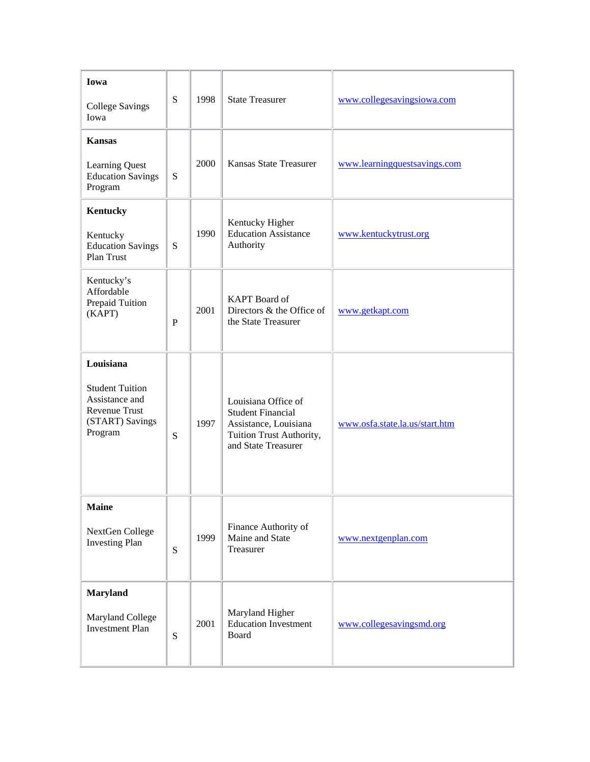| Iowa<br><b>College Savings</b><br>Iowa                                                               | S            | 1998 | <b>State Treasurer</b>                                                                                                      | www.collegesavingsiowa.com     |
|------------------------------------------------------------------------------------------------------|--------------|------|-----------------------------------------------------------------------------------------------------------------------------|--------------------------------|
| <b>Kansas</b><br><b>Learning Quest</b><br><b>Education Savings</b><br>Program                        | S            | 2000 | <b>Kansas State Treasurer</b>                                                                                               | www.learningquestsavings.com   |
| Kentucky<br>Kentucky<br><b>Education Savings</b><br>Plan Trust                                       | S            | 1990 | Kentucky Higher<br><b>Education Assistance</b><br>Authority                                                                 | www.kentuckytrust.org          |
| Kentucky's<br>Affordable<br>Prepaid Tuition<br>(KAPT)                                                | $\mathbf{P}$ | 2001 | <b>KAPT</b> Board of<br>Directors & the Office of<br>the State Treasurer                                                    | www.getkapt.com                |
| Louisiana<br><b>Student Tuition</b><br>Assistance and<br>Revenue Trust<br>(START) Savings<br>Program | S            | 1997 | Louisiana Office of<br><b>Student Financial</b><br>Assistance, Louisiana<br>Tuition Trust Authority,<br>and State Treasurer | www.osfa.state.la.us/start.htm |
| <b>Maine</b><br>NextGen College<br><b>Investing Plan</b>                                             | S            | 1999 | Finance Authority of<br>Maine and State<br>Treasurer                                                                        | www.nextgenplan.com            |
| <b>Maryland</b><br>Maryland College<br><b>Investment Plan</b>                                        | S            | 2001 | Maryland Higher<br><b>Education Investment</b><br>Board                                                                     | www.collegesavingsmd.org       |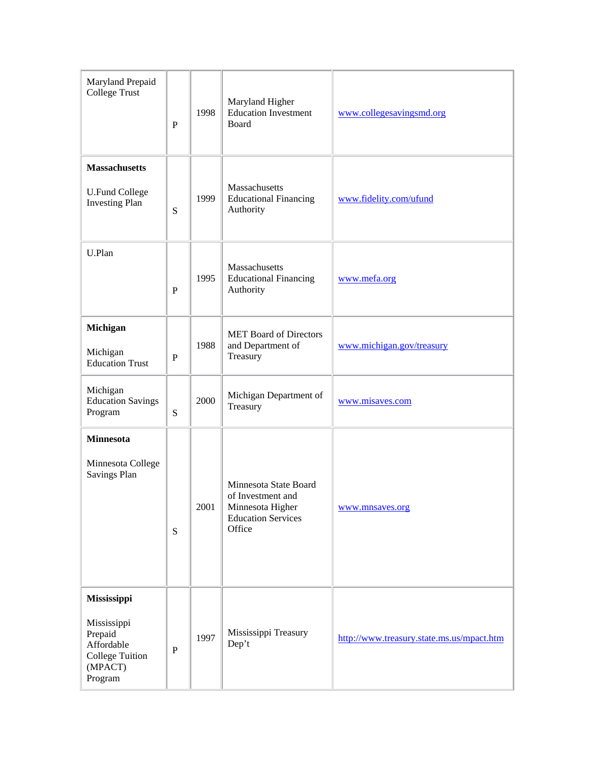| Maryland Prepaid<br>College Trust                                                                   | $\mathbf P$ | 1998 | Maryland Higher<br><b>Education Investment</b><br>Board                                               | www.collegesavingsmd.org                  |
|-----------------------------------------------------------------------------------------------------|-------------|------|-------------------------------------------------------------------------------------------------------|-------------------------------------------|
| <b>Massachusetts</b><br><b>U.Fund College</b><br><b>Investing Plan</b>                              | ${\bf S}$   | 1999 | Massachusetts<br><b>Educational Financing</b><br>Authority                                            | www.fidelity.com/ufund                    |
| U.Plan                                                                                              | $\mathbf P$ | 1995 | Massachusetts<br><b>Educational Financing</b><br>Authority                                            | www.mefa.org                              |
| Michigan<br>Michigan<br><b>Education Trust</b>                                                      | P           | 1988 | <b>MET</b> Board of Directors<br>and Department of<br>Treasury                                        | www.michigan.gov/treasury                 |
| Michigan<br><b>Education Savings</b><br>Program                                                     | ${\bf S}$   | 2000 | Michigan Department of<br>Treasury                                                                    | www.misaves.com                           |
| <b>Minnesota</b><br>Minnesota College<br><b>Savings Plan</b>                                        | ${\bf S}$   | 2001 | Minnesota State Board<br>of Investment and<br>Minnesota Higher<br><b>Education Services</b><br>Office | www.mnsaves.org                           |
| Mississippi<br>Mississippi<br>Prepaid<br>Affordable<br><b>College Tuition</b><br>(MPACT)<br>Program | ${\bf P}$   | 1997 | Mississippi Treasury<br>Dep't                                                                         | http://www.treasury.state.ms.us/mpact.htm |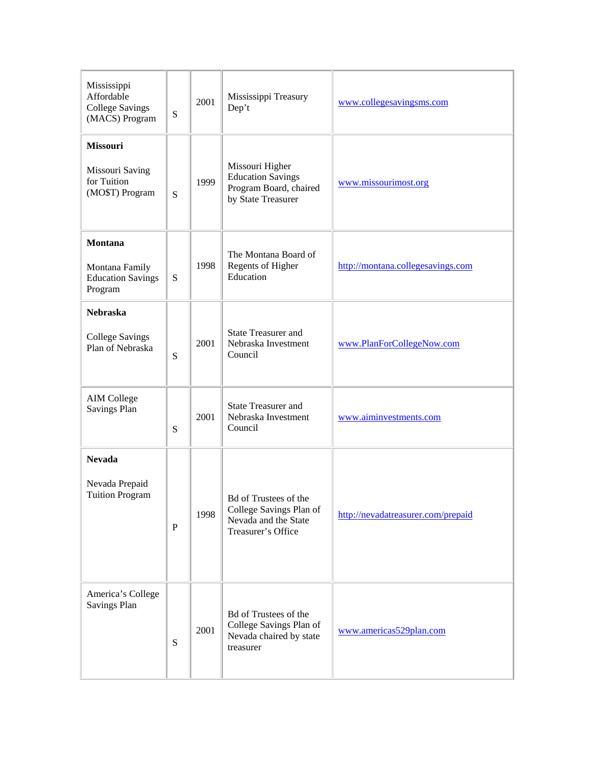| Mississippi<br>Affordable<br><b>College Savings</b><br>(MACS) Program | S           | 2001 | Mississippi Treasury<br>Dep't                                                                  | www.collegesavingsms.com           |
|-----------------------------------------------------------------------|-------------|------|------------------------------------------------------------------------------------------------|------------------------------------|
| Missouri<br>Missouri Saving<br>for Tuition<br>(MO\$T) Program         | S           | 1999 | Missouri Higher<br><b>Education Savings</b><br>Program Board, chaired<br>by State Treasurer    | www.missourimost.org               |
| Montana<br>Montana Family<br><b>Education Savings</b><br>Program      | ${\bf S}$   | 1998 | The Montana Board of<br>Regents of Higher<br>Education                                         | http://montana.collegesavings.com  |
| <b>Nebraska</b><br><b>College Savings</b><br>Plan of Nebraska         | S           | 2001 | <b>State Treasurer and</b><br>Nebraska Investment<br>Council                                   | www.PlanForCollegeNow.com          |
| <b>AIM College</b><br>Savings Plan                                    | S           | 2001 | <b>State Treasurer and</b><br>Nebraska Investment<br>Council                                   | www.aiminvestments.com             |
| <b>Nevada</b><br>Nevada Prepaid<br><b>Tuition Program</b>             | $\mathbf P$ | 1998 | Bd of Trustees of the<br>College Savings Plan of<br>Nevada and the State<br>Treasurer's Office | http://nevadatreasurer.com/prepaid |
| America's College<br><b>Savings Plan</b>                              | S           | 2001 | Bd of Trustees of the<br>College Savings Plan of<br>Nevada chaired by state<br>treasurer       | www.americas529plan.com            |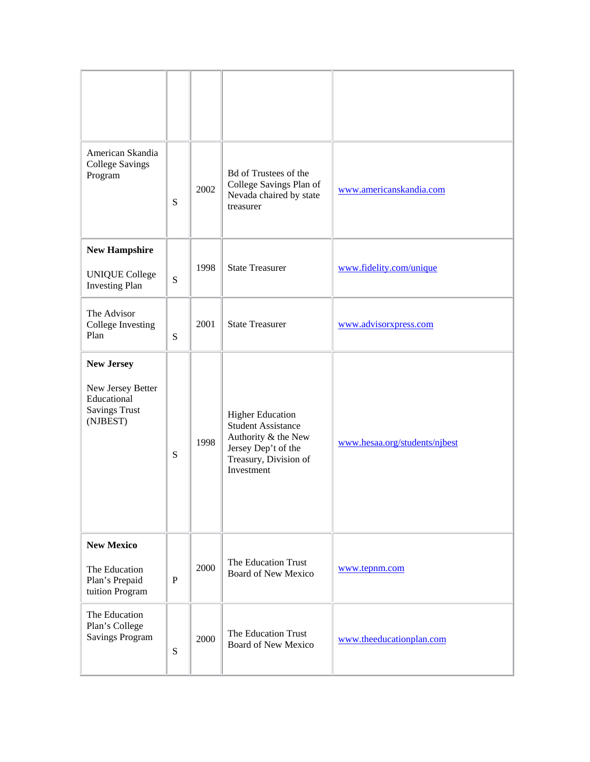| American Skandia<br><b>College Savings</b><br>Program                                     | S         | 2002 | <b>Bd</b> of Trustees of the<br>College Savings Plan of<br>Nevada chaired by state<br>treasurer                                           | www.americanskandia.com       |
|-------------------------------------------------------------------------------------------|-----------|------|-------------------------------------------------------------------------------------------------------------------------------------------|-------------------------------|
| <b>New Hampshire</b><br><b>UNIQUE College</b><br><b>Investing Plan</b>                    | S         | 1998 | <b>State Treasurer</b>                                                                                                                    | www.fidelity.com/unique       |
| The Advisor<br>College Investing<br>Plan                                                  | S         | 2001 | <b>State Treasurer</b>                                                                                                                    | www.advisorxpress.com         |
| <b>New Jersey</b><br>New Jersey Better<br>Educational<br><b>Savings Trust</b><br>(NJBEST) | S         | 1998 | <b>Higher Education</b><br><b>Student Assistance</b><br>Authority & the New<br>Jersey Dep't of the<br>Treasury, Division of<br>Investment | www.hesaa.org/students/njbest |
| <b>New Mexico</b><br>The Education<br>Plan's Prepaid<br>tuition Program                   | ${\bf P}$ | 2000 | The Education Trust<br><b>Board of New Mexico</b>                                                                                         | www.tepnm.com                 |
| The Education<br>Plan's College<br><b>Savings Program</b>                                 | ${\bf S}$ | 2000 | The Education Trust<br>Board of New Mexico                                                                                                | www.theeducationplan.com      |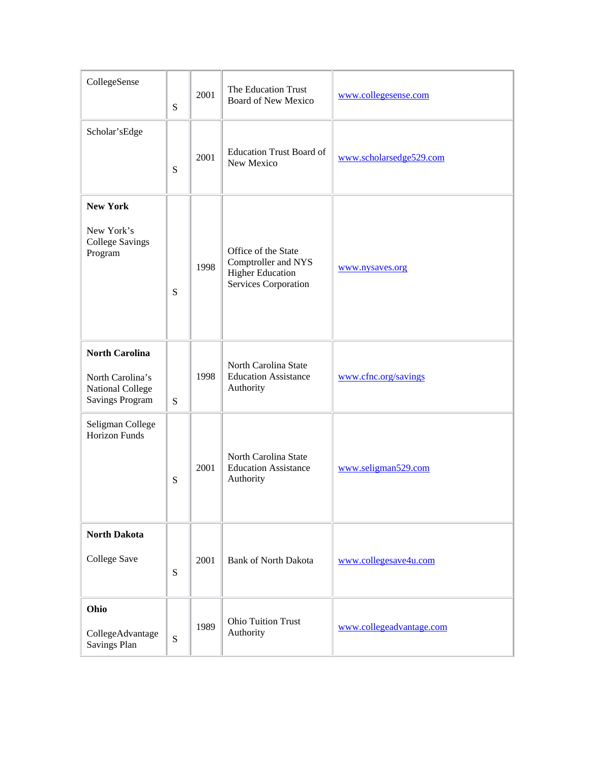| CollegeSense                                                                            | S | 2001 | The Education Trust<br><b>Board of New Mexico</b>                                             | www.collegesense.com     |
|-----------------------------------------------------------------------------------------|---|------|-----------------------------------------------------------------------------------------------|--------------------------|
| Scholar'sEdge                                                                           | S | 2001 | <b>Education Trust Board of</b><br>New Mexico                                                 | www.scholarsedge529.com  |
| <b>New York</b><br>New York's<br><b>College Savings</b><br>Program                      | S | 1998 | Office of the State<br>Comptroller and NYS<br><b>Higher Education</b><br>Services Corporation | www.nysaves.org          |
| <b>North Carolina</b><br>North Carolina's<br>National College<br><b>Savings Program</b> | S | 1998 | North Carolina State<br><b>Education Assistance</b><br>Authority                              | www.cfnc.org/savings     |
| Seligman College<br><b>Horizon Funds</b>                                                | S | 2001 | North Carolina State<br><b>Education Assistance</b><br>Authority                              | www.seligman529.com      |
| <b>North Dakota</b><br><b>College Save</b>                                              | S | 2001 | <b>Bank of North Dakota</b>                                                                   | www.collegesave4u.com    |
| Ohio<br>CollegeAdvantage<br><b>Savings Plan</b>                                         | S | 1989 | <b>Ohio Tuition Trust</b><br>Authority                                                        | www.collegeadvantage.com |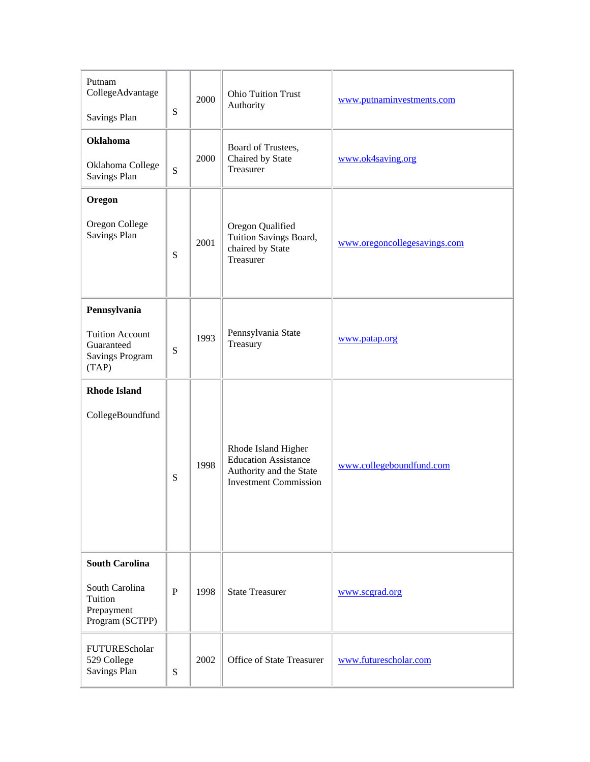| Putnam<br>CollegeAdvantage<br><b>Savings Plan</b>                                       | ${\bf S}$    | 2000 | <b>Ohio Tuition Trust</b><br>Authority                                                                        | www.putnaminvestments.com    |
|-----------------------------------------------------------------------------------------|--------------|------|---------------------------------------------------------------------------------------------------------------|------------------------------|
| <b>Oklahoma</b><br>Oklahoma College<br>Savings Plan                                     | S            | 2000 | Board of Trustees,<br>Chaired by State<br>Treasurer                                                           | www.ok4saving.org            |
| Oregon                                                                                  |              |      |                                                                                                               |                              |
| Oregon College<br><b>Savings Plan</b>                                                   | S            | 2001 | Oregon Qualified<br>Tuition Savings Board,<br>chaired by State<br>Treasurer                                   | www.oregoncollegesavings.com |
| Pennsylvania<br><b>Tuition Account</b><br>Guaranteed<br><b>Savings Program</b><br>(TAP) | ${\bf S}$    | 1993 | Pennsylvania State<br>Treasury                                                                                | www.patap.org                |
| <b>Rhode Island</b><br>CollegeBoundfund                                                 | S            | 1998 | Rhode Island Higher<br><b>Education Assistance</b><br>Authority and the State<br><b>Investment Commission</b> | www.collegeboundfund.com     |
| <b>South Carolina</b><br>South Carolina<br>Tuition<br>Prepayment<br>Program (SCTPP)     | $\mathbf{P}$ | 1998 | <b>State Treasurer</b>                                                                                        | www.scgrad.org               |
| FUTUREScholar<br>529 College<br><b>Savings Plan</b>                                     | S            | 2002 | Office of State Treasurer                                                                                     | www.futurescholar.com        |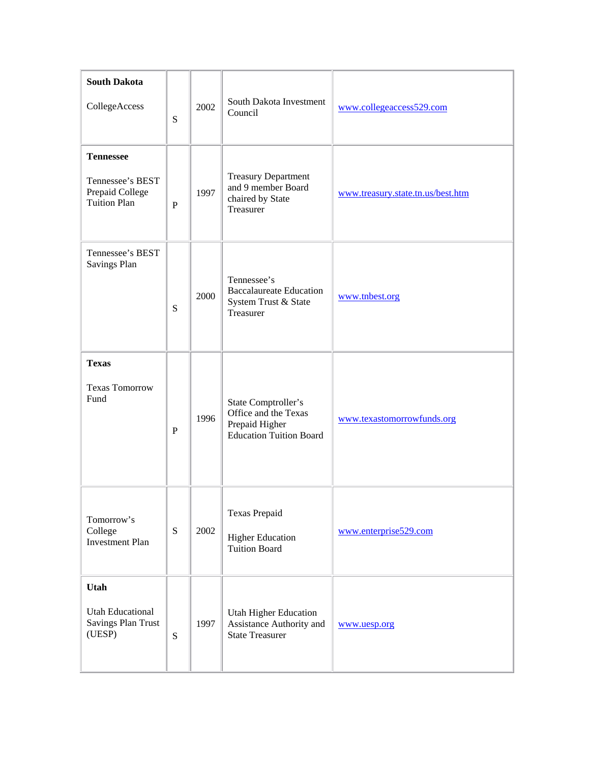| <b>South Dakota</b><br>CollegeAccess                                           | S         | 2002 | South Dakota Investment<br>Council                                                              | www.collegeaccess529.com          |
|--------------------------------------------------------------------------------|-----------|------|-------------------------------------------------------------------------------------------------|-----------------------------------|
| <b>Tennessee</b><br>Tennessee's BEST<br>Prepaid College<br><b>Tuition Plan</b> | ${\bf P}$ | 1997 | <b>Treasury Department</b><br>and 9 member Board<br>chaired by State<br>Treasurer               | www.treasury.state.tn.us/best.htm |
| Tennessee's BEST<br>Savings Plan                                               | S         | 2000 | Tennessee's<br><b>Baccalaureate Education</b><br>System Trust & State<br>Treasurer              | www.tnbest.org                    |
| <b>Texas</b><br><b>Texas Tomorrow</b><br>Fund                                  | ${\bf P}$ | 1996 | State Comptroller's<br>Office and the Texas<br>Prepaid Higher<br><b>Education Tuition Board</b> | www.texastomorrowfunds.org        |
| Tomorrow's<br>College<br><b>Investment Plan</b>                                | ${\bf S}$ | 2002 | <b>Texas Prepaid</b><br><b>Higher Education</b><br><b>Tuition Board</b>                         | www.enterprise529.com             |
| <b>Utah</b><br><b>Utah Educational</b><br><b>Savings Plan Trust</b><br>(UESP)  | ${\bf S}$ | 1997 | <b>Utah Higher Education</b><br>Assistance Authority and<br><b>State Treasurer</b>              | www.uesp.org                      |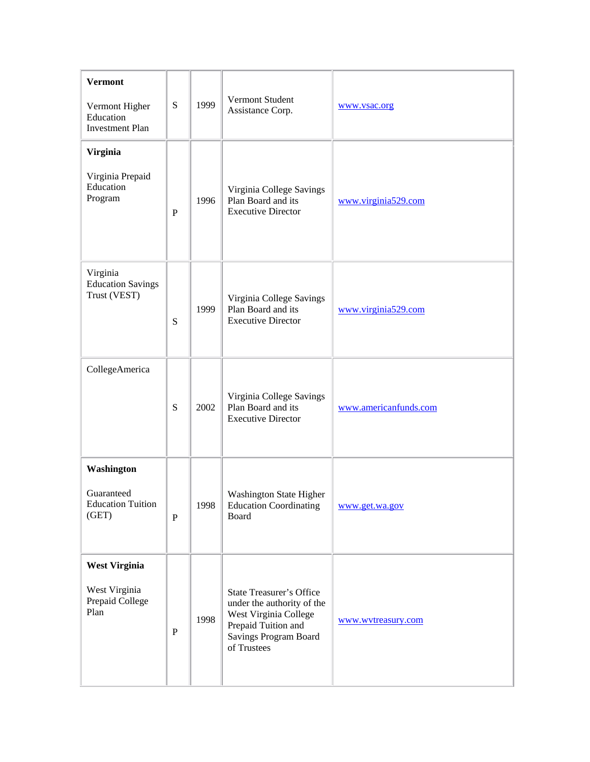| <b>Vermont</b><br>Vermont Higher<br>Education<br><b>Investment Plan</b> | ${\bf S}$   | 1999 | Vermont Student<br>Assistance Corp.                                                                                                                   | www.vsac.org          |
|-------------------------------------------------------------------------|-------------|------|-------------------------------------------------------------------------------------------------------------------------------------------------------|-----------------------|
| <b>Virginia</b><br>Virginia Prepaid<br>Education<br>Program             | ${\bf P}$   | 1996 | Virginia College Savings<br>Plan Board and its<br><b>Executive Director</b>                                                                           | www.virginia529.com   |
| Virginia<br><b>Education Savings</b><br>Trust (VEST)                    | ${\bf S}$   | 1999 | Virginia College Savings<br>Plan Board and its<br><b>Executive Director</b>                                                                           | www.virginia529.com   |
| CollegeAmerica                                                          | ${\bf S}$   | 2002 | Virginia College Savings<br>Plan Board and its<br><b>Executive Director</b>                                                                           | www.americanfunds.com |
| Washington<br>Guaranteed<br><b>Education Tuition</b><br>(GET)           | $\mathbf P$ | 1998 | Washington State Higher<br><b>Education Coordinating</b><br>Board                                                                                     | www.get.wa.gov        |
| <b>West Virginia</b><br>West Virginia<br>Prepaid College<br>Plan        | ${\bf P}$   | 1998 | <b>State Treasurer's Office</b><br>under the authority of the<br>West Virginia College<br>Prepaid Tuition and<br>Savings Program Board<br>of Trustees | www.wvtreasury.com    |